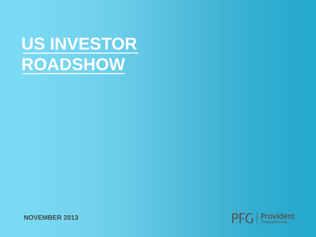# **US INVESTOR ROADSHOW**

**NOVEMBER 2013**

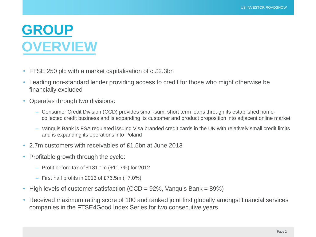#### **GROUP OVERVIEW**

- FTSE 250 plc with a market capitalisation of c.£2.3bn
- Leading non-standard lender providing access to credit for those who might otherwise be financially excluded
- Operates through two divisions:
	- Consumer Credit Division (CCD) provides small-sum, short term loans through its established homecollected credit business and is expanding its customer and product proposition into adjacent online market
	- Vanquis Bank is FSA regulated issuing Visa branded credit cards in the UK with relatively small credit limits and is expanding its operations into Poland
- 2.7m customers with receivables of £1.5bn at June 2013
- Profitable growth through the cycle:
	- Profit before tax of £181.1m (+11.7%) for 2012
	- $-$  First half profits in 2013 of £76.5m  $(+7.0\%)$
- High levels of customer satisfaction (CCD =  $92\%$ , Vanguis Bank =  $89\%$ )
- Received maximum rating score of 100 and ranked joint first globally amongst financial services companies in the FTSE4Good Index Series for two consecutive years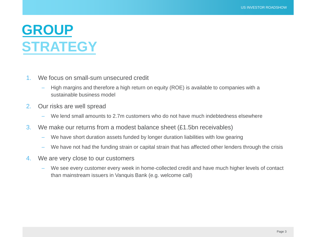#### **GROUP STRATEGY**

- 1. We focus on small-sum unsecured credit
	- High margins and therefore a high return on equity (ROE) is available to companies with a sustainable business model
- 2. Our risks are well spread
	- We lend small amounts to 2.7m customers who do not have much indebtedness elsewhere
- 3. We make our returns from a modest balance sheet  $(E1.5$ bn receivables)
	- We have short duration assets funded by longer duration liabilities with low gearing
	- We have not had the funding strain or capital strain that has affected other lenders through the crisis
- 4. We are very close to our customers
	- We see every customer every week in home-collected credit and have much higher levels of contact than mainstream issuers in Vanquis Bank (e.g. welcome call)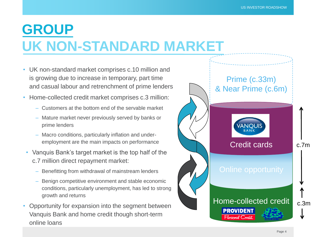#### **GROUP UK NON-STANDARD MARKET**

- UK non-standard market comprises c.10 million and is growing due to increase in temporary, part time and casual labour and retrenchment of prime lenders
- Home-collected credit market comprises c.3 million:
	- Customers at the bottom end of the servable market
	- Mature market never previously served by banks or prime lenders
	- Macro conditions, particularly inflation and underemployment are the main impacts on performance
- Vanquis Bank's target market is the top half of the c.7 million direct repayment market:
	- Benefitting from withdrawal of mainstream lenders
	- Benign competitive environment and stable economic conditions, particularly unemployment, has led to strong growth and returns
- Opportunity for expansion into the segment between Vanquis Bank and home credit though short-term online loans

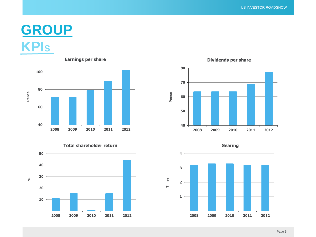#### **GROUP KPI<sup>S</sup>**



**Total shareholder return**





**Dividends per share**



**2009 2010 2011 2012**

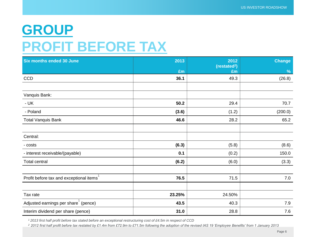#### **GROUP PROFIT BEFORE TAX**

| <b>Six months ended 30 June</b>         | 2013   | 2012<br>(restated <sup>2</sup> ) | <b>Change</b> |
|-----------------------------------------|--------|----------------------------------|---------------|
|                                         | £m     | £m                               | $\frac{9}{6}$ |
| <b>CCD</b>                              | 36.1   | 49.3                             | (26.8)        |
|                                         |        |                                  |               |
| Vanquis Bank:                           |        |                                  |               |
| $- UK$                                  | 50.2   | 29.4                             | 70.7          |
| - Poland                                | (3.6)  | (1.2)                            | (200.0)       |
| <b>Total Vanquis Bank</b>               | 46.6   | 28.2                             | 65.2          |
|                                         |        |                                  |               |
| Central:                                |        |                                  |               |
| - costs                                 | (6.3)  | (5.8)                            | (8.6)         |
| - interest receivable/(payable)         | 0.1    | (0.2)                            | 150.0         |
| <b>Total central</b>                    | (6.2)  | (6.0)                            | (3.3)         |
|                                         |        |                                  |               |
| Profit before tax and exceptional items | 76.5   | 71.5                             | 7.0           |
|                                         |        |                                  |               |
| Tax rate                                | 23.25% | 24.50%                           |               |
| Adjusted earnings per share (pence)     | 43.5   | 40.3                             | 7.9           |
| Interim dividend per share (pence)      | 31.0   | 28.8                             | 7.6           |

*<sup>1</sup> 2013 first half profit before tax stated before an exceptional restructuring cost of £4.5m in respect of CCD* 

*<sup>2</sup> 2012 first half profit before tax restated by £1.4m from £72.9m to £71.5m following the adoption of the revised IAS 19 'Employee Benefits' from 1 January 2013*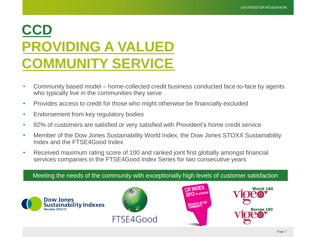## **CCD PROVIDING A VALUED COMMUNITY SERVICE**

- Community based model home-collected credit business conducted face-to-face by agents who typically live in the communities they serve
- Provides access to credit for those who might otherwise be financially excluded
- Endorsement from key regulatory bodies
- 92% of customers are satisfied or very satisfied with Provident's home credit service
- Member of the Dow Jones Sustainability World Index, the Dow Jones STOXX Sustainability Index and the FTSE4Good Index
- Received maximum rating score of 100 and ranked joint first globally amongst financial services companies in the FTSE4Good Index Series for two consecutive years

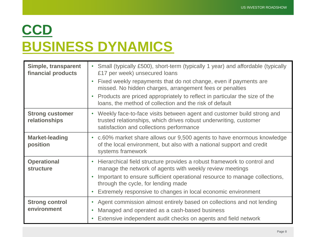## **CCD BUSINESS DYNAMICS**

| Simple, transparent<br>financial products | Small (typically £500), short-term (typically 1 year) and affordable (typically<br>$\bullet$<br>£17 per week) unsecured loans                                                                                                                                                                                                          |
|-------------------------------------------|----------------------------------------------------------------------------------------------------------------------------------------------------------------------------------------------------------------------------------------------------------------------------------------------------------------------------------------|
|                                           | Fixed weekly repayments that do not change, even if payments are<br>missed. No hidden charges, arrangement fees or penalties                                                                                                                                                                                                           |
|                                           | Products are priced appropriately to reflect in particular the size of the<br>$\bullet$<br>loans, the method of collection and the risk of default                                                                                                                                                                                     |
| <b>Strong customer</b><br>relationships   | • Weekly face-to-face visits between agent and customer build strong and<br>trusted relationships, which drives robust underwriting, customer<br>satisfaction and collections performance                                                                                                                                              |
| <b>Market-leading</b><br>position         | • c.60% market share allows our 9,500 agents to have enormous knowledge<br>of the local environment, but also with a national support and credit<br>systems framework                                                                                                                                                                  |
| <b>Operational</b><br><b>structure</b>    | Hierarchical field structure provides a robust framework to control and<br>$\bullet$<br>manage the network of agents with weekly review meetings<br>Important to ensure sufficient operational resource to manage collections,<br>through the cycle, for lending made<br>Extremely responsive to changes in local economic environment |
| <b>Strong control</b><br>environment      | Agent commission almost entirely based on collections and not lending<br>$\bullet$<br>Managed and operated as a cash-based business<br>$\bullet$<br>Extensive independent audit checks on agents and field network<br>$\bullet$                                                                                                        |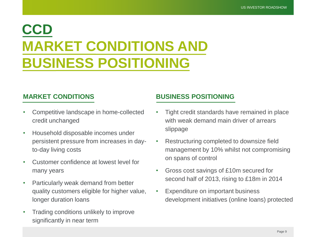### **CCD MARKET CONDITIONS AND BUSINESS POSITIONING**

- Competitive landscape in home-collected credit unchanged
- Household disposable incomes under persistent pressure from increases in dayto-day living costs
- Customer confidence at lowest level for many years
- Particularly weak demand from better quality customers eligible for higher value, longer duration loans
- Trading conditions unlikely to improve significantly in near term

#### **MARKET CONDITIONS BUSINESS POSITIONING**

- Tight credit standards have remained in place with weak demand main driver of arrears slippage
- Restructuring completed to downsize field management by 10% whilst not compromising on spans of control
- Gross cost savings of £10m secured for second half of 2013, rising to £18m in 2014
- Expenditure on important business development initiatives (online loans) protected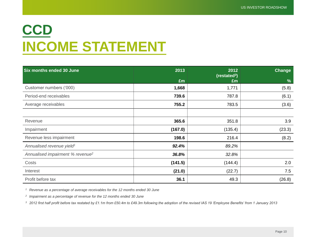## **CCD INCOME STATEMENT**

| <b>Six months ended 30 June</b>              | 2013    | 2012<br>(resated <sup>3</sup> ) | Change |
|----------------------------------------------|---------|---------------------------------|--------|
|                                              | £m      | £m                              | $\%$   |
| Customer numbers ('000)                      | 1,668   | 1,771                           | (5.8)  |
| Period-end receivables                       | 739.6   | 787.8                           | (6.1)  |
| Average receivables                          | 755.2   | 783.5                           | (3.6)  |
|                                              |         |                                 |        |
| Revenue                                      | 365.6   | 351.8                           | 3.9    |
| Impairment                                   | (167.0) | (135.4)                         | (23.3) |
| Revenue less impairment                      | 198.6   | 216.4                           | (8.2)  |
| Annualised revenue yield <sup>1</sup>        | 92.4%   | 89.2%                           |        |
| Annualised impairment % revenue <sup>2</sup> | 36.8%   | 32.8%                           |        |
| Costs                                        | (141.5) | (144.4)                         | 2.0    |
| Interest                                     | (21.0)  | (22.7)                          | 7.5    |
| Profit before tax                            | 36.1    | 49.3                            | (26.8) |

*<sup>1</sup> Revenue as a percentage of average receivables for the 12 months ended 30 June*

*2 Impairment as a percentage of revenue for the 12 months ended 30 June*

*<sup>3</sup> 2012 first half profit before tax restated by £1.1m from £50.4m to £49.3m following the adoption of the revised IAS 19 'Employee Benefits' from 1 January 2013*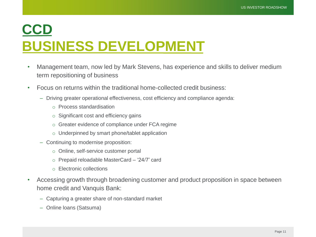#### **CCD BUSINESS DEVELOPMENT**

- Management team, now led by Mark Stevens, has experience and skills to deliver medium term repositioning of business
- Focus on returns within the traditional home-collected credit business:
	- Driving greater operational effectiveness, cost efficiency and compliance agenda:
		- o Process standardisation
		- o Significant cost and efficiency gains
		- o Greater evidence of compliance under FCA regime
		- o Underpinned by smart phone/tablet application
	- Continuing to modernise proposition:
		- o Online, self-service customer portal
		- o Prepaid reloadable MasterCard '24/7' card
		- o Electronic collections
- Accessing growth through broadening customer and product proposition in space between home credit and Vanquis Bank:
	- Capturing a greater share of non-standard market
	- Online loans (Satsuma)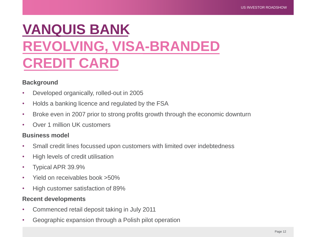### **VANQUIS BANK REVOLVING, VISA-BRANDED CREDIT CARD**

#### **Background**

- Developed organically, rolled-out in 2005
- Holds a banking licence and regulated by the FSA
- Broke even in 2007 prior to strong profits growth through the economic downturn
- Over 1 million UK customers

#### **Business model**

- Small credit lines focussed upon customers with limited over indebtedness
- High levels of credit utilisation
- Typical APR 39.9%
- Yield on receivables book >50%
- High customer satisfaction of 89%

#### **Recent developments**

- Commenced retail deposit taking in July 2011
- Geographic expansion through a Polish pilot operation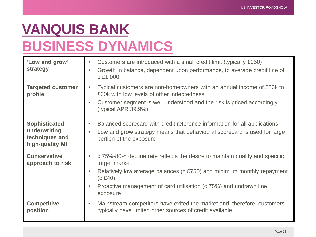#### **VANQUIS BANK BUSINESS DYNAMICS**

| 'Low and grow'<br>strategy                                                | Customers are introduced with a small credit limit (typically £250)<br>$\bullet$<br>Growth in balance, dependent upon performance, to average credit line of<br>$\bullet$<br>c.f.1,000                                                                                                                    |
|---------------------------------------------------------------------------|-----------------------------------------------------------------------------------------------------------------------------------------------------------------------------------------------------------------------------------------------------------------------------------------------------------|
| <b>Targeted customer</b><br>profile                                       | Typical customers are non-homeowners with an annual income of £20k to<br>$\bullet$<br>£30k with low levels of other indebtedness<br>Customer segment is well understood and the risk is priced accordingly<br>$\bullet$<br>(typical APR $39.9\%$ )                                                        |
| <b>Sophisticated</b><br>underwriting<br>techniques and<br>high-quality MI | Balanced scorecard with credit reference information for all applications<br>$\bullet$<br>Low and grow strategy means that behavioural scorecard is used for large<br>$\bullet$<br>portion of the exposure                                                                                                |
| <b>Conservative</b><br>approach to risk                                   | c.75%-80% decline rate reflects the desire to maintain quality and specific<br>$\bullet$<br>target market<br>Relatively low average balances (c.£750) and minimum monthly repayment<br>$\bullet$<br>(c.E40)<br>Proactive management of card utilisation (c.75%) and undrawn line<br>$\bullet$<br>exposure |
| <b>Competitive</b><br>position                                            | Mainstream competitors have exited the market and, therefore, customers<br>$\bullet$<br>typically have limited other sources of credit available                                                                                                                                                          |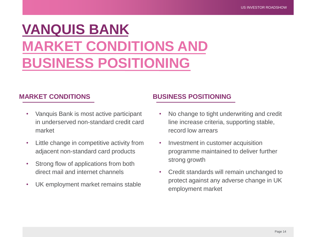### **VANQUIS BANK MARKET CONDITIONS AND BUSINESS POSITIONING**

- Vanquis Bank is most active participant in underserved non-standard credit card market
- Little change in competitive activity from adjacent non-standard card products
- Strong flow of applications from both direct mail and internet channels
- UK employment market remains stable

#### **MARKET CONDITIONS BUSINESS POSITIONING**

- No change to tight underwriting and credit line increase criteria, supporting stable, record low arrears
- Investment in customer acquisition programme maintained to deliver further strong growth
- Credit standards will remain unchanged to protect against any adverse change in UK employment market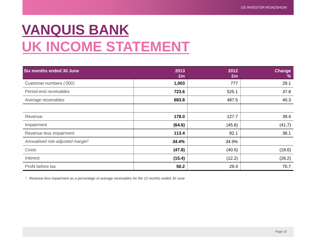### **VANQUIS BANK UK INCOME STATEMENT**

| Six months ended 30 June                     | 2013<br>£m | 2012<br>£m | <b>Change</b><br>$\frac{9}{6}$ |
|----------------------------------------------|------------|------------|--------------------------------|
| Customer numbers ('000)                      | 1,003      | 777        | 29.1                           |
| Period-end receivables                       | 723.6      | 525.1      | 37.8                           |
| Average receivables                          | 683.8      | 487.5      | 40.3                           |
|                                              |            |            |                                |
| Revenue                                      | 178.0      | 127.7      | 39.4                           |
| Impairment                                   | (64.6)     | (45.6)     | (41.7)                         |
| Revenue less impairment                      | 113.4      | 82.1       | 38.1                           |
| Annualised risk-adjusted margin <sup>1</sup> | 34.4%      | 34.9%      |                                |
| Costs                                        | (47.8)     | (40.5)     | (18.0)                         |
| Interest                                     | (15.4)     | (12.2)     | (26.2)                         |
| Profit before tax                            | 50.2       | 29.4       | 70.7                           |

*<sup>1</sup> Revenue less impairment as a percentage of average receivables for the 12 months ended 30 June*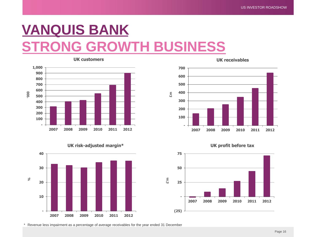#### **VANQUIS BANK G GROWTH BUSINESS**



**UK customers**





**UK receivables**



**UK profit before tax**

**2007 2008 2009 2010 2011 2012**

\* Revenue less impairment as a percentage of average receivables for the year ended 31 December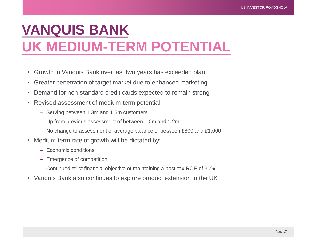### **VANQUIS BANK UK MEDIUM-TERM POTENTIAL**

- Growth in Vanquis Bank over last two years has exceeded plan
- Greater penetration of target market due to enhanced marketing
- Demand for non-standard credit cards expected to remain strong
- Revised assessment of medium-term potential:
	- Serving between 1.3m and 1.5m customers
	- Up from previous assessment of between 1.0m and 1.2m
	- No change to assessment of average balance of between £800 and £1,000
- Medium-term rate of growth will be dictated by:
	- Economic conditions
	- Emergence of competition
	- Continued strict financial objective of maintaining a post-tax ROE of 30%
- Vanquis Bank also continues to explore product extension in the UK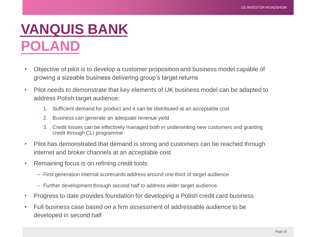### **VANQUIS BANK POLAND**

- Objective of pilot is to develop a customer proposition and business model capable of growing a sizeable business delivering group's target returns
- Pilot needs to demonstrate that key elements of UK business model can be adapted to address Polish target audience:
	- 1. Sufficient demand for product and it can be distributed at an acceptable cost
	- 2. Business can generate an adequate revenue yield
	- 3. Credit losses can be effectively managed both in underwriting new customers and granting credit through CLI programme
- Pilot has demonstrated that demand is strong and customers can be reached through internet and broker channels at an acceptable cost
- Remaining focus is on refining credit tools:
	- First generation internal scorecards address around one third of target audience
	- Further development through second half to address wider target audience
- Progress to date provides foundation for developing a Polish credit card business
- Full business case based on a firm assessment of addressable audience to be developed in second half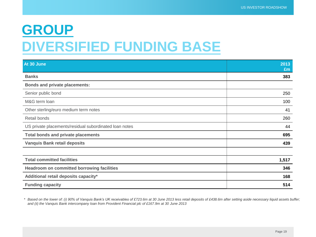#### **GROUP DIVERSIFIED FUNDING BASE**

| At 30 June                                             | 2013<br>Em |
|--------------------------------------------------------|------------|
| <b>Banks</b>                                           | 383        |
| <b>Bonds and private placements:</b>                   |            |
| Senior public bond                                     | 250        |
| M&G term loan                                          | 100        |
| Other sterling/euro medium term notes                  | 41         |
| Retail bonds                                           | 260        |
| US private placements/residual subordinated loan notes | 44         |
| <b>Total bonds and private placements</b>              | 695        |
| <b>Vanquis Bank retail deposits</b>                    | 439        |
|                                                        |            |
| <b>Total committed facilities</b>                      | 1,517      |
| Headroom on committed borrowing facilities             | 346        |
| Additional retail deposits capacity*                   | 168        |
| <b>Funding capacity</b>                                | 514        |

*\* Based on the lower of: (i) 90% of Vanquis Bank's UK receivables of £723.6m at 30 June 2013 less retail deposits of £438.6m after setting aside necessary liquid assets buffer; and (ii) the Vanquis Bank intercompany loan from Provident Financial plc of £167.9m at 30 June 2013*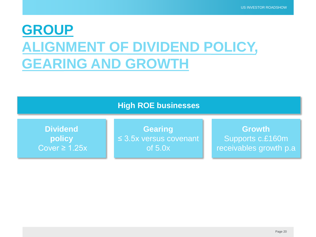### **GROUP ALIGNMENT OF DIVIDEND POLICY, GEARING AND GROWTH**

#### **High ROE businesses**

**Dividend policy** Cover  $\geq 1.25x$ 

**Gearing** ≤ 3.5x versus covenant of 5.0x

**Growth** Supports c.£160m receivables growth p.a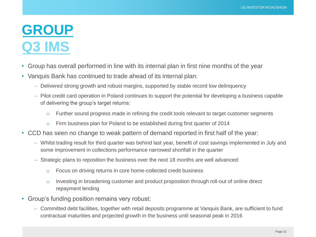#### **GROUP Q3 IMS**

- Group has overall performed in line with its internal plan in first nine months of the year
- Vanquis Bank has continued to trade ahead of its internal plan:
	- Delivered strong growth and robust margins, supported by stable record low delinquency
	- Pilot credit card operation in Poland continues to support the potential for developing a business capable of delivering the group's target returns:
		- $\circ$  Further sound progress made in refining the credit tools relevant to target customer segments
		- o Firm business plan for Poland to be established during first quarter of 2014
- CCD has seen no change to weak pattern of demand reported in first half of the year:
	- Whilst trading result for third quarter was behind last year, benefit of cost savings implemented in July and some improvement in collections performance narrowed shortfall in the quarter
	- Strategic plans to reposition the business over the next 18 months are well advanced:
		- o Focus on driving returns in core home-collected credit business
		- o Investing in broadening customer and product proposition through roll-out of online direct repayment lending
- Group's funding position remains very robust:
	- Committed debt facilities, together with retail deposits programme at Vanquis Bank, are sufficient to fund contractual maturities and projected growth in the business until seasonal peak in 2016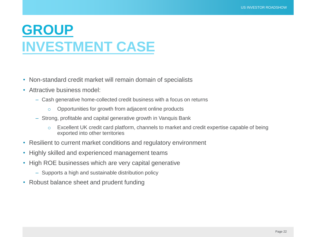#### **GROUP INVESTMENT CASE**

- Non-standard credit market will remain domain of specialists
- Attractive business model:
	- Cash generative home-collected credit business with a focus on returns
		- o Opportunities for growth from adjacent online products
	- Strong, profitable and capital generative growth in Vanquis Bank
		- o Excellent UK credit card platform, channels to market and credit expertise capable of being exported into other territories
- Resilient to current market conditions and regulatory environment
- Highly skilled and experienced management teams
- High ROE businesses which are very capital generative
	- Supports a high and sustainable distribution policy
- Robust balance sheet and prudent funding